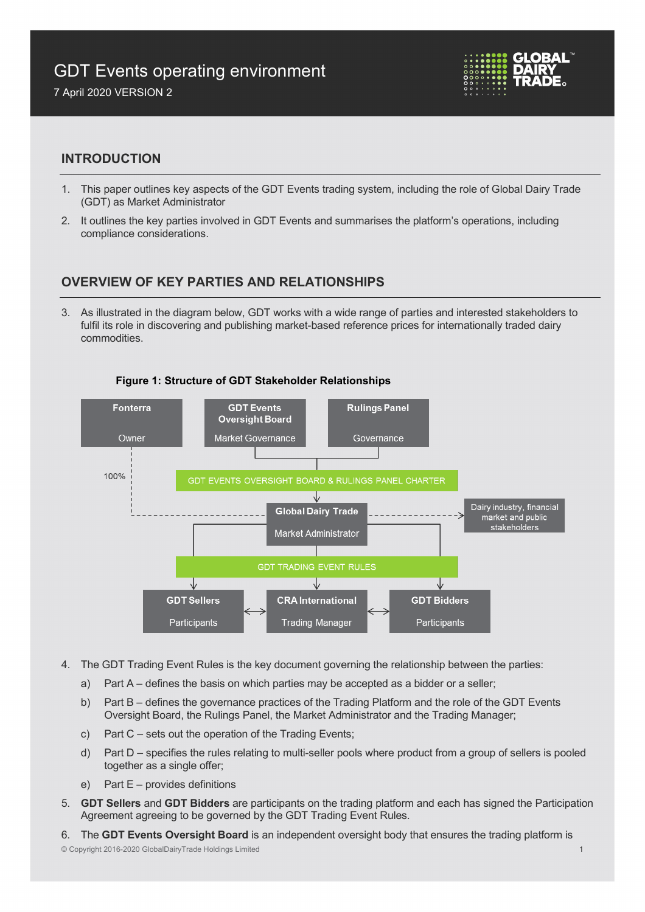# GDT Events operating environment





## **INTRODUCTION**

- 1. This paper outlines key aspects of the GDT Events trading system, including the role of Global Dairy Trade (GDT) as Market Administrator
- 2. It outlines the key parties involved in GDT Events and summarises the platform's operations, including compliance considerations.

## **OVERVIEW OF KEY PARTIES AND RELATIONSHIPS**

3. As illustrated in the diagram below, GDT works with a wide range of parties and interested stakeholders to fulfil its role in discovering and publishing market-based reference prices for internationally traded dairy commodities.



#### **Figure 1: Structure of GDT Stakeholder Relationships**

- 4. The GDT Trading Event Rules is the key document governing the relationship between the parties:
	- a) Part A defines the basis on which parties may be accepted as a bidder or a seller;
	- b) Part B defines the governance practices of the Trading Platform and the role of the GDT Events Oversight Board, the Rulings Panel, the Market Administrator and the Trading Manager;
	- c) Part C sets out the operation of the Trading Events;
	- d) Part D specifies the rules relating to multi-seller pools where product from a group of sellers is pooled together as a single offer;
	- e) Part E provides definitions
- 5. **GDT Sellers** and **GDT Bidders** are participants on the trading platform and each has signed the Participation Agreement agreeing to be governed by the GDT Trading Event Rules.

6. The **GDT Events Oversight Board** is an independent oversight body that ensures the trading platform is

#### © Copyright 2016-2020 GlobalDairyTrade Holdings Limited 1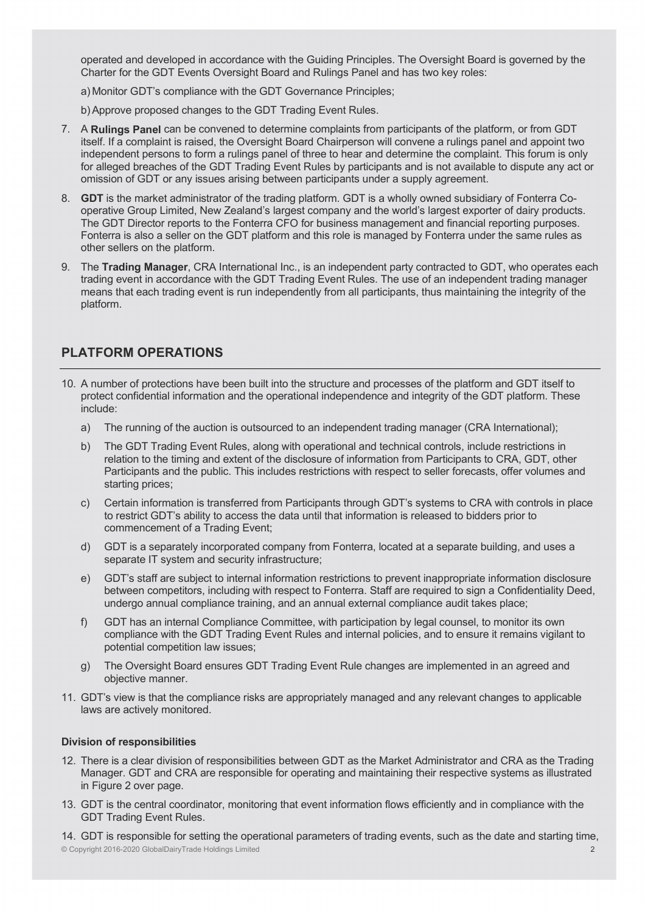operated and developed in accordance with the Guiding Principles. The Oversight Board is governed by the Charter for the GDT Events Oversight Board and Rulings Panel and has two key roles:

- a) Monitor GDT's compliance with the GDT Governance Principles;
- b)Approve proposed changes to the GDT Trading Event Rules.
- 7. A **Rulings Panel** can be convened to determine complaints from participants of the platform, or from GDT itself. If a complaint is raised, the Oversight Board Chairperson will convene a rulings panel and appoint two independent persons to form a rulings panel of three to hear and determine the complaint. This forum is only for alleged breaches of the GDT Trading Event Rules by participants and is not available to dispute any act or omission of GDT or any issues arising between participants under a supply agreement.
- 8. **GDT** is the market administrator of the trading platform. GDT is a wholly owned subsidiary of Fonterra Cooperative Group Limited, New Zealand's largest company and the world's largest exporter of dairy products. The GDT Director reports to the Fonterra CFO for business management and financial reporting purposes. Fonterra is also a seller on the GDT platform and this role is managed by Fonterra under the same rules as other sellers on the platform.
- 9. The **Trading Manager**, CRA International Inc., is an independent party contracted to GDT, who operates each trading event in accordance with the GDT Trading Event Rules. The use of an independent trading manager means that each trading event is run independently from all participants, thus maintaining the integrity of the platform.

## **PLATFORM OPERATIONS**

- 10. A number of protections have been built into the structure and processes of the platform and GDT itself to protect confidential information and the operational independence and integrity of the GDT platform. These include:
	- a) The running of the auction is outsourced to an independent trading manager (CRA International);
	- b) The GDT Trading Event Rules, along with operational and technical controls, include restrictions in relation to the timing and extent of the disclosure of information from Participants to CRA, GDT, other Participants and the public. This includes restrictions with respect to seller forecasts, offer volumes and starting prices;
	- c) Certain information is transferred from Participants through GDT's systems to CRA with controls in place to restrict GDT's ability to access the data until that information is released to bidders prior to commencement of a Trading Event;
	- d) GDT is a separately incorporated company from Fonterra, located at a separate building, and uses a separate IT system and security infrastructure;
	- e) GDT's staff are subject to internal information restrictions to prevent inappropriate information disclosure between competitors, including with respect to Fonterra. Staff are required to sign a Confidentiality Deed, undergo annual compliance training, and an annual external compliance audit takes place;
	- f) GDT has an internal Compliance Committee, with participation by legal counsel, to monitor its own compliance with the GDT Trading Event Rules and internal policies, and to ensure it remains vigilant to potential competition law issues;
	- g) The Oversight Board ensures GDT Trading Event Rule changes are implemented in an agreed and objective manner.
- 11. GDT's view is that the compliance risks are appropriately managed and any relevant changes to applicable laws are actively monitored.

#### **Division of responsibilities**

- 12. There is a clear division of responsibilities between GDT as the Market Administrator and CRA as the Trading Manager. GDT and CRA are responsible for operating and maintaining their respective systems as illustrated in Figure 2 over page.
- 13. GDT is the central coordinator, monitoring that event information flows efficiently and in compliance with the GDT Trading Event Rules.

© Copyright 2016-2020 GlobalDairyTrade Holdings Limited 2 14. GDT is responsible for setting the operational parameters of trading events, such as the date and starting time,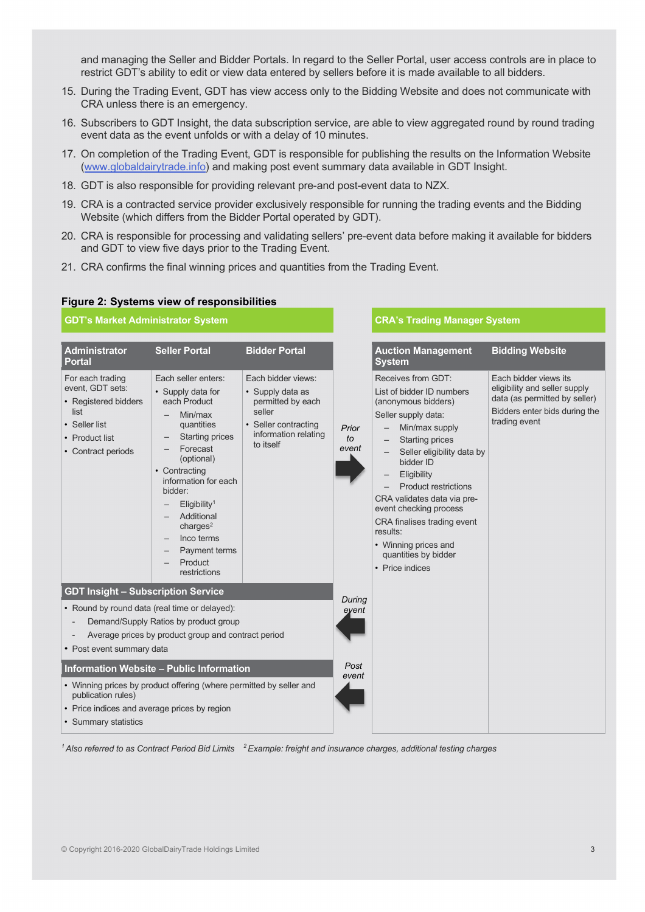and managing the Seller and Bidder Portals. In regard to the Seller Portal, user access controls are in place to restrict GDT's ability to edit or view data entered by sellers before it is made available to all bidders.

- 15. During the Trading Event, GDT has view access only to the Bidding Website and does not communicate with CRA unless there is an emergency.
- 16. Subscribers to GDT Insight, the data subscription service, are able to view aggregated round by round trading event data as the event unfolds or with a delay of 10 minutes.
- 17. On completion of the Trading Event, GDT is responsible for publishing the results on the Information Website [\(www.globaldairytrade.info\)](http://www.globaldairytrade.info/) and making post event summary data available in GDT Insight.
- 18. GDT is also responsible for providing relevant pre-and post-event data to NZX.
- 19. CRA is a contracted service provider exclusively responsible for running the trading events and the Bidding Website (which differs from the Bidder Portal operated by GDT).
- 20. CRA is responsible for processing and validating sellers' pre-event data before making it available for bidders and GDT to view five days prior to the Trading Event.
- 21. CRA confirms the final winning prices and quantities from the Trading Event.

#### **Figure 2: Systems view of responsibilities**

#### **GDT's Market Administrator System CRA's Trading Manager System**

|                                                                                                                                           | <b>Administrator</b><br><b>Portal</b>                                                                                         | <b>Seller Portal</b>                                                                                                                                                                                                                                                                                                 | <b>Bidder Portal</b>                                                                                                               |                      | <b>Auction Management</b><br><b>System</b>                                                                                                                                                                                                                                                                                                                                                                                |  |  |  |
|-------------------------------------------------------------------------------------------------------------------------------------------|-------------------------------------------------------------------------------------------------------------------------------|----------------------------------------------------------------------------------------------------------------------------------------------------------------------------------------------------------------------------------------------------------------------------------------------------------------------|------------------------------------------------------------------------------------------------------------------------------------|----------------------|---------------------------------------------------------------------------------------------------------------------------------------------------------------------------------------------------------------------------------------------------------------------------------------------------------------------------------------------------------------------------------------------------------------------------|--|--|--|
|                                                                                                                                           | For each trading<br>event, GDT sets:<br>• Registered bidders<br>list<br>• Seller list<br>• Product list<br>• Contract periods | Each seller enters:<br>• Supply data for<br>each Product<br>Min/max<br>quantities<br><b>Starting prices</b><br>Forecast<br>(optional)<br>• Contracting<br>information for each<br>bidder:<br>Eligibility <sup>1</sup><br>Additional<br>charge <sup>2</sup><br>Inco terms<br>Payment terms<br>Product<br>restrictions | Each bidder views:<br>• Supply data as<br>permitted by each<br>seller<br>• Seller contracting<br>information relating<br>to itself | Prior<br>to<br>event | Receives from GDT:<br>List of bidder ID numbers<br>(anonymous bidders)<br>Seller supply data:<br>Min/max supply<br><b>Starting prices</b><br>Seller eligibility data<br>bidder ID<br>Eligibility<br>$\qquad \qquad -$<br><b>Product restrictions</b><br>CRA validates data via pre<br>event checking process<br>CRA finalises trading even<br>results:<br>• Winning prices and<br>quantities by bidder<br>• Price indices |  |  |  |
|                                                                                                                                           | <b>GDT Insight - Subscription Service</b>                                                                                     |                                                                                                                                                                                                                                                                                                                      | During<br>eyent                                                                                                                    |                      |                                                                                                                                                                                                                                                                                                                                                                                                                           |  |  |  |
| • Round by round data (real time or delayed):<br>Demand/Supply Ratios by product group                                                    |                                                                                                                               |                                                                                                                                                                                                                                                                                                                      |                                                                                                                                    |                      |                                                                                                                                                                                                                                                                                                                                                                                                                           |  |  |  |
|                                                                                                                                           | Average prices by product group and contract period<br>• Post event summary data<br>Information Website - Public Information  |                                                                                                                                                                                                                                                                                                                      |                                                                                                                                    |                      |                                                                                                                                                                                                                                                                                                                                                                                                                           |  |  |  |
|                                                                                                                                           |                                                                                                                               |                                                                                                                                                                                                                                                                                                                      |                                                                                                                                    |                      |                                                                                                                                                                                                                                                                                                                                                                                                                           |  |  |  |
| • Winning prices by product offering (where permitted by seller and<br>publication rules)<br>• Price indices and average prices by region |                                                                                                                               |                                                                                                                                                                                                                                                                                                                      |                                                                                                                                    | event                |                                                                                                                                                                                                                                                                                                                                                                                                                           |  |  |  |
| • Summary statistics                                                                                                                      |                                                                                                                               |                                                                                                                                                                                                                                                                                                                      |                                                                                                                                    |                      |                                                                                                                                                                                                                                                                                                                                                                                                                           |  |  |  |

|                      | <b>Auction Management</b><br><b>System</b>                                                                                                                                                                                                                                                                                                                                                           | <b>Bidding Website</b>                                                                                                                    |
|----------------------|------------------------------------------------------------------------------------------------------------------------------------------------------------------------------------------------------------------------------------------------------------------------------------------------------------------------------------------------------------------------------------------------------|-------------------------------------------------------------------------------------------------------------------------------------------|
| Prior<br>to<br>event | Receives from GDT:<br>List of bidder ID numbers<br>(anonymous bidders)<br>Seller supply data:<br>Min/max supply<br>- Starting prices<br>Seller eligibility data by<br>bidder ID<br>Eligibility<br><b>Product restrictions</b><br>CRA validates data via pre-<br>event checking process<br>CRA finalises trading event<br>results:<br>• Winning prices and<br>quantities by bidder<br>• Price indices | Each bidder views its<br>eligibility and seller supply<br>data (as permitted by seller)<br>Bidders enter bids during the<br>trading event |
| During<br>eyent      |                                                                                                                                                                                                                                                                                                                                                                                                      |                                                                                                                                           |
| Post<br>event        |                                                                                                                                                                                                                                                                                                                                                                                                      |                                                                                                                                           |

*1 Also referred to as Contract Period Bid Limits 2 Example: freight and insurance charges, additional testing charges*